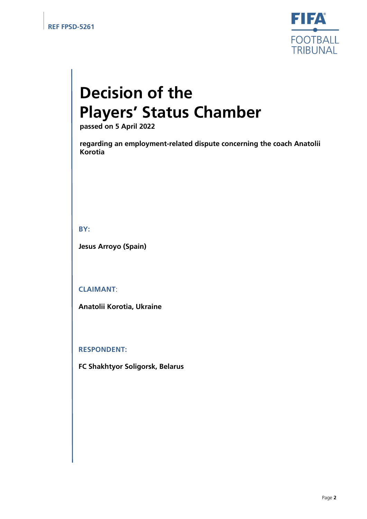

# **Decision of the Players' Status Chamber**

**passed on 5 April 2022**

**regarding an employment-related dispute concerning the coach Anatolii Korotia**

**BY:**

**Jesus Arroyo (Spain)**

**CLAIMANT**:

**Anatolii Korotia, Ukraine**

**RESPONDENT:**

**FC Shakhtyor Soligorsk, Belarus**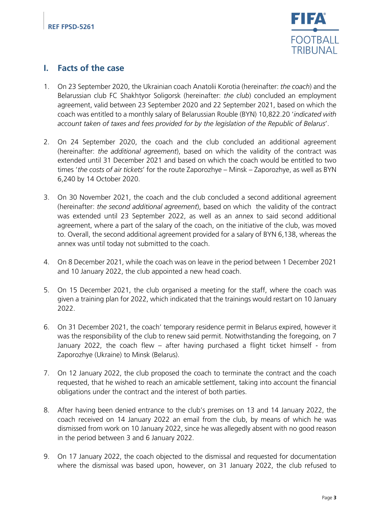

### **I. Facts of the case**

- 1. On 23 September 2020, the Ukrainian coach Anatolii Korotia (hereinafter: *the coach*) and the Belarussian club FC Shakhtyor Soligorsk (hereinafter: *the club*) concluded an employment agreement, valid between 23 September 2020 and 22 September 2021, based on which the coach was entitled to a monthly salary of Belarussian Rouble (BYN) 10,822.20 '*indicated with account taken of taxes and fees provided for by the legislation of the Republic of Belarus*'.
- 2. On 24 September 2020, the coach and the club concluded an additional agreement (hereinafter: *the additional agreement*), based on which the validity of the contract was extended until 31 December 2021 and based on which the coach would be entitled to two times '*the costs of air tickets*' for the route Zaporozhye – Minsk – Zaporozhye, as well as BYN 6,240 by 14 October 2020.
- 3. On 30 November 2021, the coach and the club concluded a second additional agreement (hereinafter: *the second additional agreement*), based on which the validity of the contract was extended until 23 September 2022, as well as an annex to said second additional agreement, where a part of the salary of the coach, on the initiative of the club, was moved to. Overall, the second additional agreement provided for a salary of BYN 6,138, whereas the annex was until today not submitted to the coach.
- 4. On 8 December 2021, while the coach was on leave in the period between 1 December 2021 and 10 January 2022, the club appointed a new head coach.
- 5. On 15 December 2021, the club organised a meeting for the staff, where the coach was given a training plan for 2022, which indicated that the trainings would restart on 10 January 2022.
- 6. On 31 December 2021, the coach' temporary residence permit in Belarus expired, however it was the responsibility of the club to renew said permit. Notwithstanding the foregoing, on 7 January 2022, the coach flew – after having purchased a flight ticket himself - from Zaporozhye (Ukraine) to Minsk (Belarus).
- 7. On 12 January 2022, the club proposed the coach to terminate the contract and the coach requested, that he wished to reach an amicable settlement, taking into account the financial obligations under the contract and the interest of both parties.
- 8. After having been denied entrance to the club's premises on 13 and 14 January 2022, the coach received on 14 January 2022 an email from the club, by means of which he was dismissed from work on 10 January 2022, since he was allegedly absent with no good reason in the period between 3 and 6 January 2022.
- 9. On 17 January 2022, the coach objected to the dismissal and requested for documentation where the dismissal was based upon, however, on 31 January 2022, the club refused to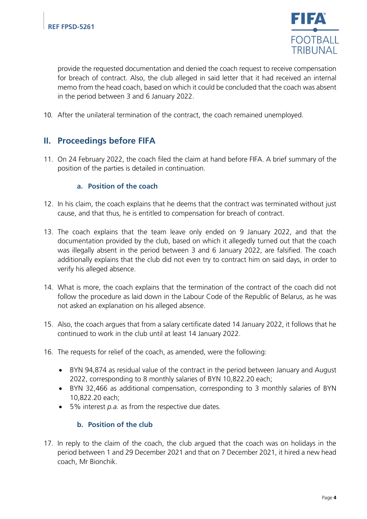

provide the requested documentation and denied the coach request to receive compensation for breach of contract. Also, the club alleged in said letter that it had received an internal memo from the head coach, based on which it could be concluded that the coach was absent in the period between 3 and 6 January 2022.

10. After the unilateral termination of the contract, the coach remained unemployed.

# **II. Proceedings before FIFA**

11. On 24 February 2022, the coach filed the claim at hand before FIFA. A brief summary of the position of the parties is detailed in continuation.

#### **a. Position of the coach**

- 12. In his claim, the coach explains that he deems that the contract was terminated without just cause, and that thus, he is entitled to compensation for breach of contract.
- 13. The coach explains that the team leave only ended on 9 January 2022, and that the documentation provided by the club, based on which it allegedly turned out that the coach was illegally absent in the period between 3 and 6 January 2022, are falsified. The coach additionally explains that the club did not even try to contract him on said days, in order to verify his alleged absence.
- 14. What is more, the coach explains that the termination of the contract of the coach did not follow the procedure as laid down in the Labour Code of the Republic of Belarus, as he was not asked an explanation on his alleged absence.
- 15. Also, the coach argues that from a salary certificate dated 14 January 2022, it follows that he continued to work in the club until at least 14 January 2022.
- 16. The requests for relief of the coach, as amended, were the following:
	- BYN 94,874 as residual value of the contract in the period between January and August 2022, corresponding to 8 monthly salaries of BYN 10,822.20 each;
	- BYN 32,466 as additional compensation, corresponding to 3 monthly salaries of BYN 10,822.20 each;
	- 5% interest *p.a.* as from the respective due dates.

#### **b. Position of the club**

17. In reply to the claim of the coach, the club argued that the coach was on holidays in the period between 1 and 29 December 2021 and that on 7 December 2021, it hired a new head coach, Mr Bionchik.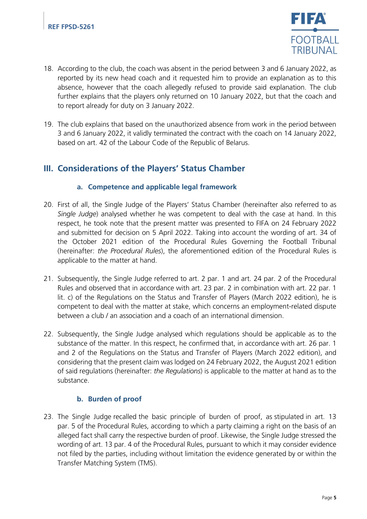

- 18. According to the club, the coach was absent in the period between 3 and 6 January 2022, as reported by its new head coach and it requested him to provide an explanation as to this absence, however that the coach allegedly refused to provide said explanation. The club further explains that the players only returned on 10 January 2022, but that the coach and to report already for duty on 3 January 2022.
- 19. The club explains that based on the unauthorized absence from work in the period between 3 and 6 January 2022, it validly terminated the contract with the coach on 14 January 2022, based on art. 42 of the Labour Code of the Republic of Belarus.

# **III. Considerations of the Players' Status Chamber**

#### **a. Competence and applicable legal framework**

- 20. First of all, the Single Judge of the Players' Status Chamber (hereinafter also referred to as *Single Judge*) analysed whether he was competent to deal with the case at hand. In this respect, he took note that the present matter was presented to FIFA on 24 February 2022 and submitted for decision on 5 April 2022. Taking into account the wording of art. 34 of the October 2021 edition of the Procedural Rules Governing the Football Tribunal (hereinafter: *the Procedural Rules*), the aforementioned edition of the Procedural Rules is applicable to the matter at hand.
- 21. Subsequently, the Single Judge referred to art. 2 par. 1 and art. 24 par. 2 of the Procedural Rules and observed that in accordance with art. 23 par. 2 in combination with art. 22 par. 1 lit. c) of the Regulations on the Status and Transfer of Players (March 2022 edition), he is competent to deal with the matter at stake, which concerns an employment-related dispute between a club / an association and a coach of an international dimension.
- 22. Subsequently, the Single Judge analysed which regulations should be applicable as to the substance of the matter. In this respect, he confirmed that, in accordance with art. 26 par. 1 and 2 of the Regulations on the Status and Transfer of Players (March 2022 edition), and considering that the present claim was lodged on 24 February 2022, the August 2021 edition of said regulations (hereinafter: *the Regulations*) is applicable to the matter at hand as to the substance.

#### **b. Burden of proof**

23. The Single Judge recalled the basic principle of burden of proof, as stipulated in art. 13 par. 5 of the Procedural Rules, according to which a party claiming a right on the basis of an alleged fact shall carry the respective burden of proof. Likewise, the Single Judge stressed the wording of art. 13 par. 4 of the Procedural Rules, pursuant to which it may consider evidence not filed by the parties, including without limitation the evidence generated by or within the Transfer Matching System (TMS).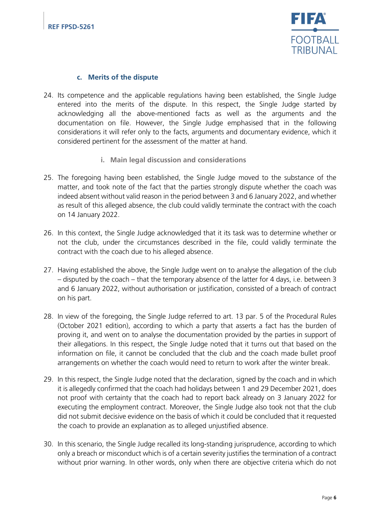

#### **c. Merits of the dispute**

- 24. Its competence and the applicable regulations having been established, the Single Judge entered into the merits of the dispute. In this respect, the Single Judge started by acknowledging all the above-mentioned facts as well as the arguments and the documentation on file. However, the Single Judge emphasised that in the following considerations it will refer only to the facts, arguments and documentary evidence, which it considered pertinent for the assessment of the matter at hand.
	- **i. Main legal discussion and considerations**
- 25. The foregoing having been established, the Single Judge moved to the substance of the matter, and took note of the fact that the parties strongly dispute whether the coach was indeed absent without valid reason in the period between 3 and 6 January 2022, and whether as result of this alleged absence, the club could validly terminate the contract with the coach on 14 January 2022.
- 26. In this context, the Single Judge acknowledged that it its task was to determine whether or not the club, under the circumstances described in the file, could validly terminate the contract with the coach due to his alleged absence.
- 27. Having established the above, the Single Judge went on to analyse the allegation of the club – disputed by the coach – that the temporary absence of the latter for 4 days, i.e. between 3 and 6 January 2022, without authorisation or justification, consisted of a breach of contract on his part.
- 28. In view of the foregoing, the Single Judge referred to art. 13 par. 5 of the Procedural Rules (October 2021 edition), according to which a party that asserts a fact has the burden of proving it, and went on to analyse the documentation provided by the parties in support of their allegations. In this respect, the Single Judge noted that it turns out that based on the information on file, it cannot be concluded that the club and the coach made bullet proof arrangements on whether the coach would need to return to work after the winter break.
- 29. In this respect, the Single Judge noted that the declaration, signed by the coach and in which it is allegedly confirmed that the coach had holidays between 1 and 29 December 2021, does not proof with certainty that the coach had to report back already on 3 January 2022 for executing the employment contract. Moreover, the Single Judge also took not that the club did not submit decisive evidence on the basis of which it could be concluded that it requested the coach to provide an explanation as to alleged unjustified absence.
- 30. In this scenario, the Single Judge recalled its long-standing jurisprudence, according to which only a breach or misconduct which is of a certain severity justifies the termination of a contract without prior warning. In other words, only when there are objective criteria which do not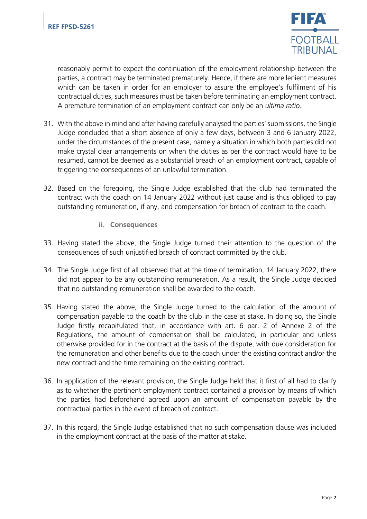

reasonably permit to expect the continuation of the employment relationship between the parties, a contract may be terminated prematurely. Hence, if there are more lenient measures which can be taken in order for an employer to assure the employee's fulfilment of his contractual duties, such measures must be taken before terminating an employment contract. A premature termination of an employment contract can only be an *ultima ratio*.

- 31. With the above in mind and after having carefully analysed the parties' submissions, the Single Judge concluded that a short absence of only a few days, between 3 and 6 January 2022, under the circumstances of the present case, namely a situation in which both parties did not make crystal clear arrangements on when the duties as per the contract would have to be resumed, cannot be deemed as a substantial breach of an employment contract, capable of triggering the consequences of an unlawful termination.
- 32. Based on the foregoing, the Single Judge established that the club had terminated the contract with the coach on 14 January 2022 without just cause and is thus obliged to pay outstanding remuneration, if any, and compensation for breach of contract to the coach.
	- **ii. Consequences**
- 33. Having stated the above, the Single Judge turned their attention to the question of the consequences of such unjustified breach of contract committed by the club.
- 34. The Single Judge first of all observed that at the time of termination, 14 January 2022, there did not appear to be any outstanding remuneration. As a result, the Single Judge decided that no outstanding remuneration shall be awarded to the coach.
- 35. Having stated the above, the Single Judge turned to the calculation of the amount of compensation payable to the coach by the club in the case at stake. In doing so, the Single Judge firstly recapitulated that, in accordance with art. 6 par. 2 of Annexe 2 of the Regulations, the amount of compensation shall be calculated, in particular and unless otherwise provided for in the contract at the basis of the dispute, with due consideration for the remuneration and other benefits due to the coach under the existing contract and/or the new contract and the time remaining on the existing contract.
- 36. In application of the relevant provision, the Single Judge held that it first of all had to clarify as to whether the pertinent employment contract contained a provision by means of which the parties had beforehand agreed upon an amount of compensation payable by the contractual parties in the event of breach of contract.
- 37. In this regard, the Single Judge established that no such compensation clause was included in the employment contract at the basis of the matter at stake.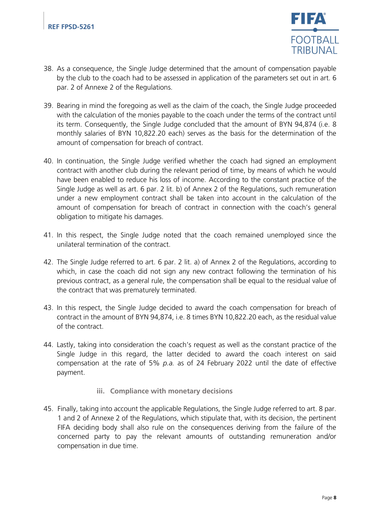

- 38. As a consequence, the Single Judge determined that the amount of compensation payable by the club to the coach had to be assessed in application of the parameters set out in art. 6 par. 2 of Annexe 2 of the Regulations.
- 39. Bearing in mind the foregoing as well as the claim of the coach, the Single Judge proceeded with the calculation of the monies payable to the coach under the terms of the contract until its term. Consequently, the Single Judge concluded that the amount of BYN 94,874 (i.e. 8 monthly salaries of BYN 10,822.20 each) serves as the basis for the determination of the amount of compensation for breach of contract.
- 40. In continuation, the Single Judge verified whether the coach had signed an employment contract with another club during the relevant period of time, by means of which he would have been enabled to reduce his loss of income. According to the constant practice of the Single Judge as well as art. 6 par. 2 lit. b) of Annex 2 of the Regulations, such remuneration under a new employment contract shall be taken into account in the calculation of the amount of compensation for breach of contract in connection with the coach's general obligation to mitigate his damages.
- 41. In this respect, the Single Judge noted that the coach remained unemployed since the unilateral termination of the contract.
- 42. The Single Judge referred to art. 6 par. 2 lit. a) of Annex 2 of the Regulations, according to which, in case the coach did not sign any new contract following the termination of his previous contract, as a general rule, the compensation shall be equal to the residual value of the contract that was prematurely terminated.
- 43. In this respect, the Single Judge decided to award the coach compensation for breach of contract in the amount of BYN 94,874, i.e. 8 times BYN 10,822.20 each, as the residual value of the contract.
- 44. Lastly, taking into consideration the coach's request as well as the constant practice of the Single Judge in this regard, the latter decided to award the coach interest on said compensation at the rate of 5% *p.a.* as of 24 February 2022 until the date of effective payment.
	- **iii. Compliance with monetary decisions**
- 45. Finally, taking into account the applicable Regulations, the Single Judge referred to art. 8 par. 1 and 2 of Annexe 2 of the Regulations, which stipulate that, with its decision, the pertinent FIFA deciding body shall also rule on the consequences deriving from the failure of the concerned party to pay the relevant amounts of outstanding remuneration and/or compensation in due time.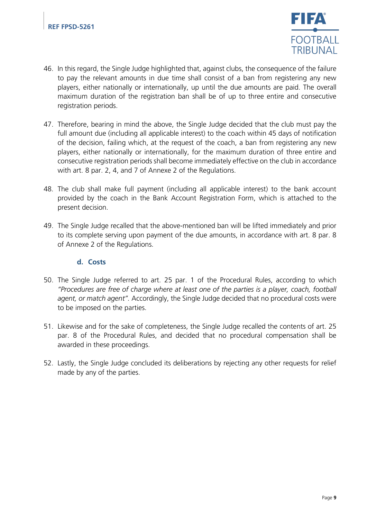

- 46. In this regard, the Single Judge highlighted that, against clubs, the consequence of the failure to pay the relevant amounts in due time shall consist of a ban from registering any new players, either nationally or internationally, up until the due amounts are paid. The overall maximum duration of the registration ban shall be of up to three entire and consecutive registration periods.
- 47. Therefore, bearing in mind the above, the Single Judge decided that the club must pay the full amount due (including all applicable interest) to the coach within 45 days of notification of the decision, failing which, at the request of the coach, a ban from registering any new players, either nationally or internationally, for the maximum duration of three entire and consecutive registration periods shall become immediately effective on the club in accordance with art. 8 par. 2, 4, and 7 of Annexe 2 of the Regulations.
- 48. The club shall make full payment (including all applicable interest) to the bank account provided by the coach in the Bank Account Registration Form, which is attached to the present decision.
- 49. The Single Judge recalled that the above-mentioned ban will be lifted immediately and prior to its complete serving upon payment of the due amounts, in accordance with art. 8 par. 8 of Annexe 2 of the Regulations.

#### **d. Costs**

- 50. The Single Judge referred to art. 25 par. 1 of the Procedural Rules, according to which *"Procedures are free of charge where at least one of the parties is a player, coach, football agent, or match agent".* Accordingly, the Single Judge decided that no procedural costs were to be imposed on the parties.
- 51. Likewise and for the sake of completeness, the Single Judge recalled the contents of art. 25 par. 8 of the Procedural Rules, and decided that no procedural compensation shall be awarded in these proceedings.
- 52. Lastly, the Single Judge concluded its deliberations by rejecting any other requests for relief made by any of the parties.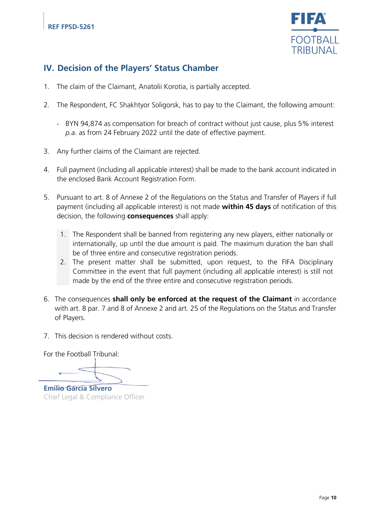

# **IV. Decision of the Players' Status Chamber**

- 1. The claim of the Claimant, Anatolii Korotia, is partially accepted.
- 2. The Respondent, FC Shakhtyor Soligorsk, has to pay to the Claimant, the following amount:
	- BYN 94,874 as compensation for breach of contract without just cause, plus 5% interest *p.a.* as from 24 February 2022 until the date of effective payment.
- 3. Any further claims of the Claimant are rejected.
- 4. Full payment (including all applicable interest) shall be made to the bank account indicated in the enclosed Bank Account Registration Form.
- 5. Pursuant to art. 8 of Annexe 2 of the Regulations on the Status and Transfer of Players if full payment (including all applicable interest) is not made **within 45 days** of notification of this decision, the following **consequences** shall apply:
	- 1. The Respondent shall be banned from registering any new players, either nationally or internationally, up until the due amount is paid. The maximum duration the ban shall be of three entire and consecutive registration periods.
	- 2. The present matter shall be submitted, upon request, to the FIFA Disciplinary Committee in the event that full payment (including all applicable interest) is still not made by the end of the three entire and consecutive registration periods.
- 6. The consequences **shall only be enforced at the request of the Claimant** in accordance with art. 8 par. 7 and 8 of Annexe 2 and art. 25 of the Regulations on the Status and Transfer of Players.
- 7. This decision is rendered without costs.

For the Football Tribunal:

**Emilio García Silvero** Chief Legal & Compliance Officer